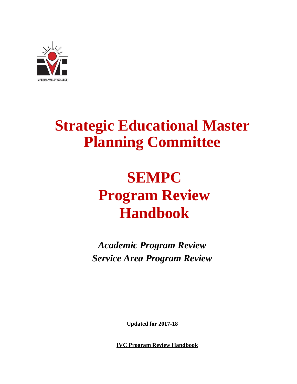

# **Strategic Educational Master Planning Committee**

# **SEMPC Program Review Handbook**

*Academic Program Review Service Area Program Review*

**Updated for 2017-18**

**IVC Program Review Handbook**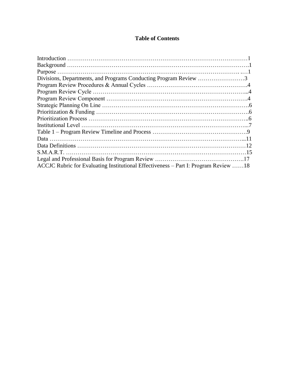### **Table of Contents**

| Divisions, Departments, and Programs Conducting Program Review 3                    |  |
|-------------------------------------------------------------------------------------|--|
|                                                                                     |  |
|                                                                                     |  |
|                                                                                     |  |
|                                                                                     |  |
|                                                                                     |  |
|                                                                                     |  |
|                                                                                     |  |
|                                                                                     |  |
|                                                                                     |  |
|                                                                                     |  |
|                                                                                     |  |
|                                                                                     |  |
| ACCJC Rubric for Evaluating Institutional Effectiveness - Part I: Program Review 18 |  |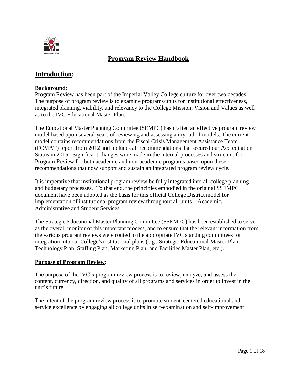

# **Program Review Handbook**

# **Introduction:**

#### **Background:**

Program Review has been part of the Imperial Valley College culture for over two decades. The purpose of program review is to examine programs/units for institutional effectiveness, integrated planning, viability, and relevancy to the College Mission, Vision and Values as well as to the IVC Educational Master Plan.

The Educational Master Planning Committee (SEMPC) has crafted an effective program review model based upon several years of reviewing and assessing a myriad of models. The current model contains recommendations from the Fiscal Crisis Management Assistance Team (FCMAT) report from 2012 and includes all recommendations that secured our Accreditation Status in 2015. Significant changes were made in the internal processes and structure for Program Review for both academic and non-academic programs based upon these recommendations that now support and sustain an integrated program review cycle.

It is imperative that institutional program review be fully integrated into all college planning and budgetary processes. To that end, the principles embodied in the original SSEMPC document have been adopted as the basis for this official College District model for implementation of institutional program review throughout all units – Academic, Administrative and Student Services.

The Strategic Educational Master Planning Committee (SSEMPC) has been established to serve as the overall monitor of this important process, and to ensure that the relevant information from the various program reviews were routed to the appropriate IVC standing committees for integration into our College's institutional plans (e.g., Strategic Educational Master Plan, Technology Plan, Staffing Plan, Marketing Plan, and Facilities Master Plan, etc.).

#### **Purpose of Program Review:**

The purpose of the IVC's program review process is to review, analyze, and assess the content, currency, direction, and quality of all programs and services in order to invest in the unit's future.

The intent of the program review process is to promote student-centered educational and service excellence by engaging all college units in self-examination and self-improvement.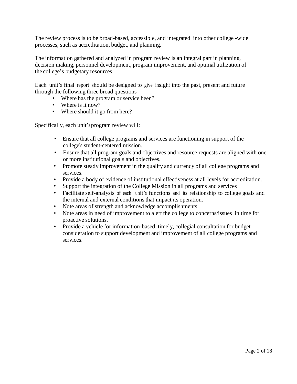The review process is to be broad-based, accessible, and integrated into other college -wide processes, such as accreditation, budget, and planning.

The information gathered and analyzed in program review is an integral part in planning, decision making, personnel development, program improvement, and optimal utilization of the college's budgetary resources.

Each unit's final report should be designed to give insight into the past, present and future through the following three broad questions

- Where has the program or service been?
- Where is it now?
- Where should it go from here?

Specifically, each unit's program review will:

- Ensure that all college programs and services are functioning in support of the college's student-centered mission.
- Ensure that all program goals and objectives and resource requests are aligned with one or more institutional goals and objectives.
- Promote steady improvement in the quality and currency of all college programs and services.
- Provide a body of evidence of institutional effectiveness at all levels for accreditation.
- Support the integration of the College Mission in all programs and services
- Facilitate self-analysis of each unit's functions and its relationship to college goals and the internal and external conditions that impact its operation.
- Note areas of strength and acknowledge accomplishments.
- Note areas in need of improvement to alert the college to concerns/issues in time for proactive solutions.
- Provide a vehicle for information-based, timely, collegial consultation for budget consideration to support development and improvement of all college programs and services.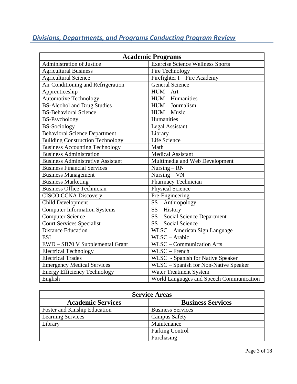| <b>Academic Programs</b>                                      |                                          |  |
|---------------------------------------------------------------|------------------------------------------|--|
| <b>Administration of Justice</b>                              | <b>Exercise Science Wellness Sports</b>  |  |
| <b>Agricultural Business</b>                                  | Fire Technology                          |  |
| <b>Agricultural Science</b>                                   | Firefighter I - Fire Academy             |  |
| Air Conditioning and Refrigeration                            | <b>General Science</b>                   |  |
| Apprenticeship                                                | $HUM - Art$                              |  |
| <b>Automotive Technology</b>                                  | HUM - Humanities                         |  |
| <b>BS-Alcohol and Drug Studies</b>                            | HUM - Journalism                         |  |
| <b>BS-Behavioral Science</b>                                  | HUM - Music                              |  |
| <b>BS-Psychology</b>                                          | Humanities                               |  |
| <b>BS-Sociology</b>                                           | <b>Legal Assistant</b>                   |  |
| <b>Behavioral Science Department</b>                          | Library                                  |  |
| <b>Building Construction Technology</b>                       | Life Science                             |  |
| <b>Business Accounting Technology</b>                         | Math                                     |  |
| <b>Business Administration</b>                                | <b>Medical Assistant</b>                 |  |
| <b>Business Administrative Assistant</b>                      | Multimedia and Web Development           |  |
| <b>Business Financial Services</b>                            | $Nursing - RN$                           |  |
| $Nursing - VN$<br><b>Business Management</b>                  |                                          |  |
| <b>Business Marketing</b>                                     | Pharmacy Technician                      |  |
| <b>Business Office Technician</b>                             | <b>Physical Science</b>                  |  |
| <b>CISCO CCNA Discovery</b>                                   | Pre-Engineering                          |  |
| Child Development                                             | $SS - Anthropology$                      |  |
| <b>Computer Information Systems</b>                           | $SS - History$                           |  |
| <b>Computer Science</b>                                       | SS - Social Science Department           |  |
| <b>Court Services Specialist</b>                              | SS - Social Science                      |  |
| <b>Distance Education</b>                                     | WLSC - American Sign Language            |  |
| <b>ESL</b>                                                    | WLSC - Arabic                            |  |
| EWD - SB70 V Supplemental Grant                               | <b>WLSC</b> - Communication Arts         |  |
| <b>Electrical Technology</b>                                  | WLSC - French                            |  |
| <b>Electrical Trades</b>                                      | WLSC - Spanish for Native Speaker        |  |
| <b>Emergency Medical Services</b>                             | WLSC - Spanish for Non-Native Speaker    |  |
| <b>Energy Efficiency Technology</b><br>Water Treatment System |                                          |  |
| English                                                       | World Languages and Speech Communication |  |

| <b>Service Areas</b>         |                          |
|------------------------------|--------------------------|
| <b>Academic Services</b>     | <b>Business Services</b> |
| Foster and Kinship Education | <b>Business Services</b> |
| <b>Learning Services</b>     | <b>Campus Safety</b>     |
| Library                      | Maintenance              |
|                              | <b>Parking Control</b>   |
|                              | Purchasing               |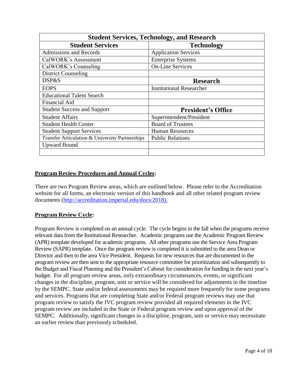| <b>Student Services, Technology, and Research</b> |                                 |  |
|---------------------------------------------------|---------------------------------|--|
| <b>Student Services</b>                           | <b>Technology</b>               |  |
| <b>Admissions and Records</b>                     | <b>Application Services</b>     |  |
| CalWORK's Assessment                              | <b>Enterprise Systems</b>       |  |
| CalWORK's Counseling                              | <b>On-Line Services</b>         |  |
| <b>District Counseling</b>                        |                                 |  |
| DSP&S                                             | <b>Research</b>                 |  |
| <b>EOPS</b>                                       | <b>Institutional Researcher</b> |  |
| <b>Educational Talent Search</b>                  |                                 |  |
| <b>Financial Aid</b>                              |                                 |  |
| <b>Student Success and Support</b>                | <b>President's Office</b>       |  |
| <b>Student Affairs</b>                            | Superintendent/President        |  |
| <b>Student Health Center</b>                      | <b>Board of Trustees</b>        |  |
| <b>Student Support Services</b>                   | <b>Human Resources</b>          |  |
| Transfer Articulation & University Partnerships   | <b>Public Relations</b>         |  |
| <b>Upward Bound</b>                               |                                 |  |
|                                                   |                                 |  |

#### **Program Review Procedures and Annual Cycles:**

There are two Program Review areas, which are outlined below. Please refer to the Accreditation website for all forms, an electronic version of this handbook and all other related program review documents [\(http://accreditation.imperial.edu/docs/2018\).](http://accreditation.imperial.edu/docs/2018).)

#### **Program Review Cycle:**

Program Review is completed on an annual cycle. The cycle begins in the fall when the programs receive relevant data from the Institutional Researcher. Academic programs use the Academic Program Review (APR) template developed for academic programs. All other programs use the Service Area Program Review (SAPR) template. Once the program review is completed it is submitted to the area Dean or Director and then to the area Vice President. Requests for new resources that are documented in the program review are then sent to the appropriate resource committee for prioritization and subsequently to the Budget and Fiscal Planning and the President's Cabinet for consideration for funding in the next year's budget. For all program review areas, only extraordinary circumstances, events, or significant changes in the discipline, program, unit or service will be considered for adjustments in the timeline by the SEMPC. State and/or federal assessments may be required more frequently for some programs and services. Programs that are completing State and/or Federal program reviews may use that program review to satisfy the IVC program review provided all required elements in the IVC program review are included in the State or Federal program review and upon approval of the SEMPC. Additionally, significant changes in a discipline, program, unit or service may necessitate an earlier review than previously scheduled.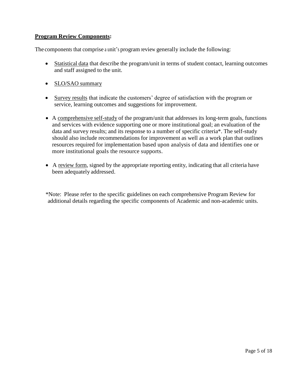#### **Program Review Components:**

The components that comprise a unit's program review generally include the following:

- Statistical data that describe the program/unit in terms of student contact, learning outcomes and staff assigned to the unit.
- SLO/SAO summary
- Survey results that indicate the customers' degree of satisfaction with the program or service, learning outcomes and suggestions for improvement.
- A comprehensive self-study of the program/unit that addresses its long-term goals, functions and services with evidence supporting one or more institutional goal; an evaluation of the data and survey results; and its response to a number of specific criteria\*. The self-study should also include recommendations for improvement as well as a work plan that outlines resources required for implementation based upon analysis of data and identifies one or more institutional goals the resource supports.
- A review form, signed by the appropriate reporting entity, indicating that all criteria have been adequately addressed.

\*Note: Please refer to the specific guidelines on each comprehensive Program Review for additional details regarding the specific components of Academic and non-academic units.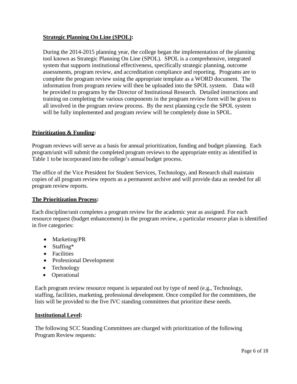#### **Strategic Planning On Line (SPOL):**

During the 2014-2015 planning year, the college began the implementation of the planning tool known as Strategic Planning On Line (SPOL). SPOL is a comprehensive, integrated system that supports institutional effectiveness, specifically strategic planning, outcome assessments, program review, and accreditation compliance and reporting. Programs are to complete the program review using the appropriate template as a WORD document. The information from program review will then be uploaded into the SPOL system. Data will be provided to programs by the Director of Institutional Research. Detailed instructions and training on completing the various components in the program review form will be given to all involved in the program review process. By the next planning cycle the SPOL system will be fully implemented and program review will be completely done in SPOL.

#### **Prioritization & Funding:**

Program reviews will serve as a basis for annual prioritization, funding and budget planning. Each program/unit will submit the completed program reviews to the appropriate entity as identified in Table 1 tobe incorporated into the college's annual budget process.

The office of the Vice President for Student Services, Technology, and Research shall maintain copies of all program review reports as a permanent archive and will provide data as needed for all program review reports.

#### **The Prioritization Process:**

Each discipline/unit completes a program review for the academic year as assigned. For each resource request (budget enhancement) in the program review, a particular resource plan is identified in five categories:

- Marketing/PR
- Staffing\*
- **•** Facilities
- Professional Development
- Technology
- Operational

Each program review resource request is separated out by type of need (e.g., Technology, staffing, facilities, marketing, professional development. Once compiled for the committees, the lists will be provided to the five IVC standing committees that prioritize these needs.

#### **Institutional Level:**

The following SCC Standing Committees are charged with prioritization of the following Program Review requests: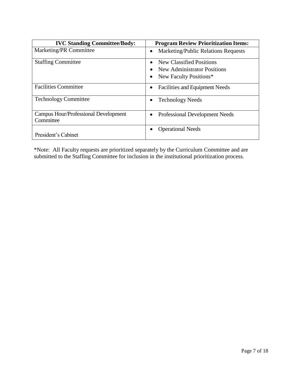| <b>IVC Standing Committee/Body:</b>               | <b>Program Review Prioritization Items:</b>        |
|---------------------------------------------------|----------------------------------------------------|
| Marketing/PR Committee                            | Marketing/Public Relations Requests<br>$\bullet$   |
| <b>Staffing Committee</b>                         | <b>New Classified Positions</b><br>$\bullet$       |
|                                                   | New Administrator Positions<br>$\bullet$           |
|                                                   | New Faculty Positions*<br>$\bullet$                |
| <b>Facilities Committee</b>                       | <b>Facilities and Equipment Needs</b>              |
| <b>Technology Committee</b>                       | <b>Technology Needs</b>                            |
| Campus Hour/Professional Development<br>Committee | <b>Professional Development Needs</b><br>$\bullet$ |
| President's Cabinet                               | <b>Operational Needs</b><br>$\bullet$              |

\*Note: All Faculty requests are prioritized separately by the Curriculum Committee and are submitted to the Staffing Committee for inclusion in the institutional prioritization process.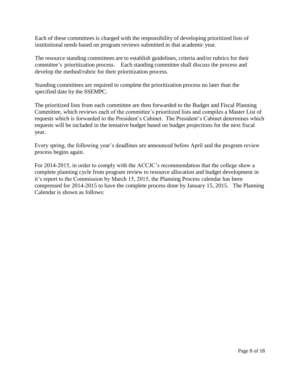Each of these committees is charged with the responsibility of developing prioritized lists of institutional needs based on program reviews submitted in that academic year.

The resource standing committees are to establish guidelines, criteria and/or rubrics for their committee's prioritization process. Each standing committee shall discuss the process and develop the method/rubric for their prioritization process.

Standing committees are required to complete the prioritization process no later than the specified date by the SSEMPC.

The prioritized lists from each committee are then forwarded to the Budget and Fiscal Planning Committee, which reviews each of the committee's prioritized lists and compiles a Master List of requests which is forwarded to the President's Cabinet. The President's Cabinet determines which requests will be included in the tentative budget based on budget projections for the next fiscal year.

Every spring, the following year's deadlines are announced before April and the program review process begins again.

For 2014-2015, in order to comply with the ACCJC's recommendation that the college show a complete planning cycle from program review to resource allocation and budget development in it's report to the Commission by March 15, 2015, the Planning Process calendar has been compressed for 2014-2015 to have the complete process done by January 15, 2015. The Planning Calendar is shown as follows: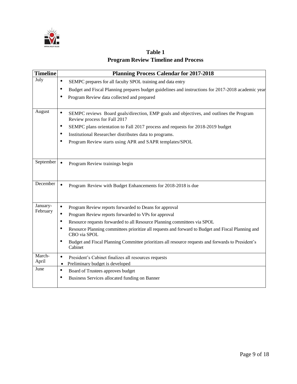

# **Table 1 Program Review Timeline and Process**

| <b>Timeline</b> | <b>Planning Process Calendar for 2017-2018</b>                                                                                       |
|-----------------|--------------------------------------------------------------------------------------------------------------------------------------|
| July            | $\bullet$<br>SEMPC prepares for all faculty SPOL training and data entry                                                             |
|                 | Budget and Fiscal Planning prepares budget guidelines and instructions for 2017-2018 academic year                                   |
|                 | ٠<br>Program Review data collected and prepared                                                                                      |
|                 |                                                                                                                                      |
| August          | $\bullet$<br>SEMPC reviews Board goals/direction, EMP goals and objectives, and outlines the Program<br>Review process for Fall 2017 |
|                 | ٠<br>SEMPC plans orientation to Fall 2017 process and requests for 2018-2019 budget                                                  |
|                 | ٠<br>Institutional Researcher distributes data to programs.                                                                          |
|                 | Program Review starts using APR and SAPR templates/SPOL<br>٠                                                                         |
|                 |                                                                                                                                      |
| September       | $\bullet$<br>Program Review trainings begin                                                                                          |
|                 |                                                                                                                                      |
| December        | $\bullet$<br>Program Review with Budget Enhancements for 2018-2018 is due                                                            |
|                 |                                                                                                                                      |
| January-        |                                                                                                                                      |
| February        | $\bullet$<br>Program Review reports forwarded to Deans for approval                                                                  |
|                 | $\bullet$<br>Program Review reports forwarded to VPs for approval                                                                    |
|                 | $\bullet$<br>Resource requests forwarded to all Resource Planning committees via SPOL                                                |
|                 | Resource Planning committees prioritize all requests and forward to Budget and Fiscal Planning and<br>CBO via SPOL                   |
|                 | ٠<br>Budget and Fiscal Planning Committee prioritizes all resource requests and forwards to President's<br>Cabinet                   |
| March-          | $\bullet$<br>President's Cabinet finalizes all resources requests                                                                    |
| April           | Preliminary budget is developed<br>$\bullet$                                                                                         |
| June            | $\bullet$<br>Board of Trustees approves budget                                                                                       |
|                 | Business Services allocated funding on Banner<br>٠                                                                                   |
|                 |                                                                                                                                      |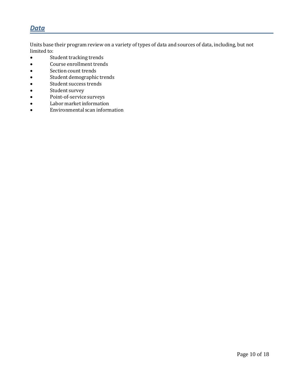### *Data*

Units base their program review on a variety of types of data and sources of data, including, but not limited to:

- Student tracking trends
- Course enrollment trends
- Section count trends
- Student demographic trends
- Student success trends
- Student survey
- Point‐of‐service surveys
- Labor market information
- Environmental scan information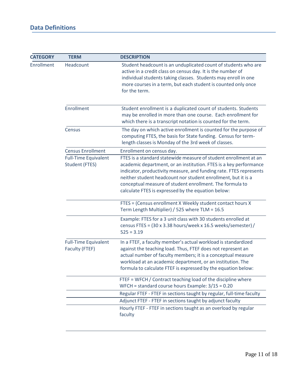| <b>CATEGORY</b> | <b>TERM</b>                                          | <b>DESCRIPTION</b>                                                                                                                                                                                                                                                                                                                                                                             |
|-----------------|------------------------------------------------------|------------------------------------------------------------------------------------------------------------------------------------------------------------------------------------------------------------------------------------------------------------------------------------------------------------------------------------------------------------------------------------------------|
| Enrollment      | Headcount                                            | Student headcount is an unduplicated count of students who are<br>active in a credit class on census day. It is the number of<br>individual students taking classes. Students may enroll in one<br>more courses in a term, but each student is counted only once<br>for the term.                                                                                                              |
|                 | Enrollment                                           | Student enrollment is a duplicated count of students. Students<br>may be enrolled in more than one course. Each enrollment for<br>which there is a transcript notation is counted for the term.                                                                                                                                                                                                |
|                 | Census                                               | The day on which active enrollment is counted for the purpose of<br>computing FTES, the basis for State funding. Census for term-<br>length classes is Monday of the 3rd week of classes.                                                                                                                                                                                                      |
|                 | <b>Census Enrollment</b>                             | Enrollment on census day.                                                                                                                                                                                                                                                                                                                                                                      |
|                 | <b>Full-Time Equivalent</b><br><b>Student (FTES)</b> | FTES is a standard statewide measure of student enrollment at an<br>academic department, or an institution. FTES is a key performance<br>indicator, productivity measure, and funding rate. FTES represents<br>neither student headcount nor student enrollment, but it is a<br>conceptual measure of student enrollment. The formula to<br>calculate FTES is expressed by the equation below: |
|                 |                                                      | FTES = (Census enrollment X Weekly student contact hours X<br>Term Length Multiplier) / 525 where TLM = 16.5                                                                                                                                                                                                                                                                                   |
|                 |                                                      | Example: FTES for a 3 unit class with 30 students enrolled at<br>census FTES = (30 x 3.38 hours/week x 16.5 weeks/semester) /<br>$525 = 3.19$                                                                                                                                                                                                                                                  |
|                 | <b>Full-Time Equivalent</b><br>Faculty (FTEF)        | In a FTEF, a faculty member's actual workload is standardized<br>against the teaching load. Thus, FTEF does not represent an<br>actual number of faculty members; it is a conceptual measure<br>workload at an academic department, or an institution. The<br>formula to calculate FTEF is expressed by the equation below:                                                                    |
|                 |                                                      | FTEF = WFCH / Contract teaching load of the discipline where<br>WFCH = standard course hours Example: $3/15 = 0.20$                                                                                                                                                                                                                                                                            |
|                 |                                                      | Regular FTEF - FTEF in sections taught by regular, full-time faculty                                                                                                                                                                                                                                                                                                                           |
|                 |                                                      | Adjunct FTEF - FTEF in sections taught by adjunct faculty                                                                                                                                                                                                                                                                                                                                      |
|                 |                                                      | Hourly FTEF - FTEF in sections taught as an overload by regular<br>faculty                                                                                                                                                                                                                                                                                                                     |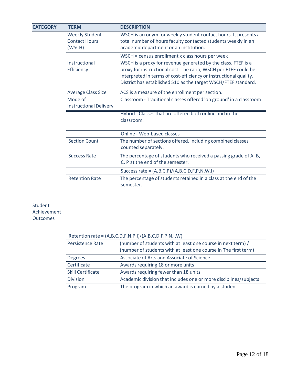| <b>CATEGORY</b> | <b>TERM</b>                   | <b>DESCRIPTION</b>                                                                                                                                                                                     |
|-----------------|-------------------------------|--------------------------------------------------------------------------------------------------------------------------------------------------------------------------------------------------------|
|                 | <b>Weekly Student</b>         | WSCH is acronym for weekly student contact hours. It presents a                                                                                                                                        |
|                 | <b>Contact Hours</b>          | total number of hours faculty contacted students weekly in an                                                                                                                                          |
|                 | (WSCH)                        | academic department or an institution.                                                                                                                                                                 |
|                 |                               | WSCH = census enrollment x class hours per week                                                                                                                                                        |
|                 | Instructional                 | WSCH is a proxy for revenue generated by the class. FTEF is a                                                                                                                                          |
|                 | Efficiency                    | proxy for instructional cost. The ratio, WSCH per FTEF could be<br>interpreted in terms of cost-efficiency or instructional quality.<br>District has established 510 as the target WSCH/FTEF standard. |
|                 | <b>Average Class Size</b>     | ACS is a measure of the enrollment per section.                                                                                                                                                        |
|                 | Mode of                       | Classroom - Traditional classes offered 'on ground' in a classroom                                                                                                                                     |
|                 | <b>Instructional Delivery</b> |                                                                                                                                                                                                        |
|                 |                               | Hybrid - Classes that are offered both online and in the<br>classroom.                                                                                                                                 |
|                 |                               | Online - Web-based classes                                                                                                                                                                             |
|                 | <b>Section Count</b>          | The number of sections offered, including combined classes<br>counted separately.                                                                                                                      |
|                 | <b>Success Rate</b>           | The percentage of students who received a passing grade of A, B,<br>C, P at the end of the semester.                                                                                                   |
|                 |                               | Success rate = $(A,B,C,P)/(A,B,C,D,F,P,N,W,I)$                                                                                                                                                         |
|                 | <b>Retention Rate</b>         | The percentage of students retained in a class at the end of the<br>semester.                                                                                                                          |

#### Student Achievement **Outcomes**

Retention rate = (A,B,C,D,F,N,P,I)/(A,B,C,D,F,P,N,I,W)

| Persistence Rate         | (number of students with at least one course in next term) /     |
|--------------------------|------------------------------------------------------------------|
|                          | (number of students with at least one course in The first term)  |
| <b>Degrees</b>           | Associate of Arts and Associate of Science                       |
| Certificate              | Awards requiring 18 or more units                                |
| <b>Skill Certificate</b> | Awards requiring fewer than 18 units                             |
| <b>Division</b>          | Academic division that includes one or more disciplines/subjects |
| Program                  | The program in which an award is earned by a student             |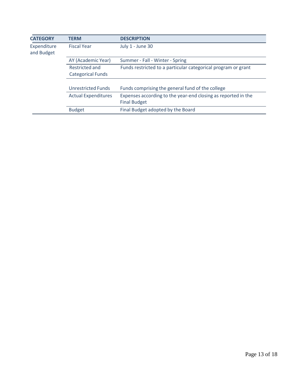| <b>CATEGORY</b>           | <b>TERM</b>                                | <b>DESCRIPTION</b>                                                                   |
|---------------------------|--------------------------------------------|--------------------------------------------------------------------------------------|
| Expenditure<br>and Budget | <b>Fiscal Year</b>                         | July 1 - June 30                                                                     |
|                           | AY (Academic Year)                         | Summer - Fall - Winter - Spring                                                      |
|                           | Restricted and<br><b>Categorical Funds</b> | Funds restricted to a particular categorical program or grant                        |
|                           | Unrestricted Funds                         | Funds comprising the general fund of the college                                     |
|                           | <b>Actual Expenditures</b>                 | Expenses according to the year-end closing as reported in the<br><b>Final Budget</b> |
|                           | <b>Budget</b>                              | Final Budget adopted by the Board                                                    |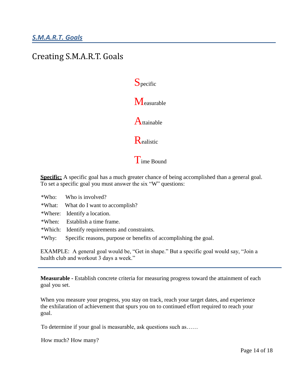# Creating S.M.A.R.T. Goals



Time Bound

**Specific:** A specific goal has a much greater chance of being accomplished than a general goal. To set a specific goal you must answer the six "W" questions:

- \*Who: Who is involved?
- \*What: What do I want to accomplish?
- \*Where: Identify a location.
- \*When: Establish a time frame.
- \*Which: Identify requirements and constraints.
- \*Why: Specific reasons, purpose or benefits of accomplishing the goal.

EXAMPLE: A general goal would be, "Get in shape." But a specific goal would say, "Join a health club and workout 3 days a week."

**Measurable -** Establish concrete criteria for measuring progress toward the attainment of each goal you set.

When you measure your progress, you stay on track, reach your target dates, and experience the exhilaration of achievement that spurs you on to continued effort required to reach your goal.

To determine if your goal is measurable, ask questions such as……

How much? How many?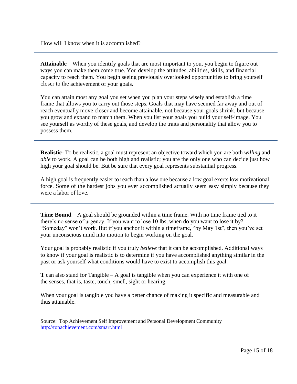**Attainable** – When you identify goals that are most important to you, you begin to figure out ways you can make them come true. You develop the attitudes, abilities, skills, and financial capacity to reach them. You begin seeing previously overlooked opportunities to bring yourself closer to the achievement of your goals.

You can attain most any goal you set when you plan your steps wisely and establish a time frame that allows you to carry out those steps. Goals that may have seemed far away and out of reach eventually move closer and become attainable, not because your goals shrink, but because you grow and expand to match them. When you list your goals you build your self-image. You see yourself as worthy of these goals, and develop the traits and personality that allow you to possess them.

**Realistic**- To be realistic, a goal must represent an objective toward which you are both *willing* and *able* to work. A goal can be both high and realistic; you are the only one who can decide just how high your goal should be. But be sure that every goal represents substantial progress.

A high goal is frequently easier to reach than a low one because a low goal exerts low motivational force. Some of the hardest jobs you ever accomplished actually seem easy simply because they were a labor of love.

**Time Bound** – A goal should be grounded within a time frame. With no time frame tied to it there's no sense of urgency. If you want to lose 10 lbs, when do you want to lose it by? "Someday" won't work. But if you anchor it within a timeframe, "by May 1st", then you've set your unconscious mind into motion to begin working on the goal.

Your goal is probably realistic if you truly *believe* that it can be accomplished. Additional ways to know if your goal is realistic is to determine if you have accomplished anything similar in the past or ask yourself what conditions would have to exist to accomplish this goal.

**T** can also stand for Tangible – A goal is tangible when you can experience it with one of the senses, that is, taste, touch, smell, sight or hearing.

When your goal is tangible you have a better chance of making it specific and measurable and thus attainable.

Source: Top Achievement Self Improvement and Personal Development Community <http://topachievement.com/smart.html>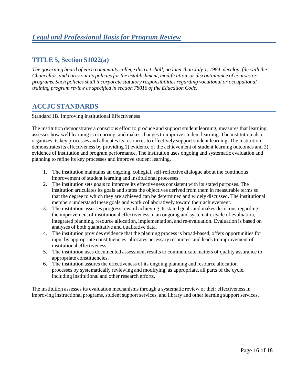# **TITLE 5, Section 51022(a)**

The governing board of each community college district shall, no later than July 1, 1984, develop, file with the *Chancellor, and carry out its policies for the establishment, modification, or discontinuance of courses or programs. Such policies shall incorporate statutory responsibilities regarding vocational or occupational training program review as specified in section 78016 of the Education Code.*

# **ACCJC STANDARDS**

Standard 1B. Improving Institutional Effectiveness

The institution demonstrates a conscious effort to produce and support student learning, measures that learning, assesses how well learning is occurring, and makes changes to improve student learning. The institution also organizes its key processes and allocates its resources to effectively support student learning. The institution demonstrates its effectiveness by providing 1) evidence of the achievement of student learning outcomes and 2) evidence of institution and program performance. The institution uses ongoing and systematic evaluation and planning to refine its key processes and improve student learning.

- 1. The institution maintains an ongoing, collegial, self‐reflective dialogue about the continuous improvement of student learning and institutional processes.
- 2. The institution sets goals to improve its effectiveness consistent with its stated purposes. The institution articulates its goals and states the objectives derived from them in measurable terms so that the degree to which they are achieved can be determined and widely discussed. The institutional members understand these goals and work collaboratively toward their achievement.
- 3. The institution assesses progress toward achieving its stated goals and makes decisions regarding the improvement of institutional effectivenessin an ongoing and systematic cycle of evaluation, integrated planning, resource allocation, implementation, and re-evaluation. Evaluation is based on analyses of both quantitative and qualitative data.
- 4. The institution provides evidence that the planning process is broad‐based, offers opportunities for input by appropriate constituencies, allocates necessary resources, and leads to improvement of institutional effectiveness.
- 5. The institution uses documented assessment results to communicate matters of quality assurance to appropriate constituencies.
- 6. The institution assures the effectiveness of its ongoing planning and resource allocation processes by systematically reviewing and modifying, as appropriate, all parts of the cycle, including institutional and other research efforts.

The institution assesses its evaluation mechanisms through a systematic review of their effectiveness in improving instructional programs, student support services, and library and other learning support services.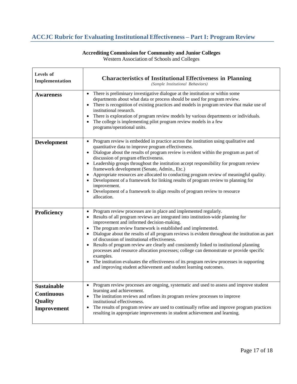# **ACCJC Rubric for Evaluating Institutional Effectiveness – Part I: Program Review**

| <b>Levels of</b><br>Implementation                                       | <b>Characteristics of Institutional Effectiveness in Planning</b><br>(Sample Institutional Behaviors)                                                                                                                                                                                                                                                                                                                                                                                                                                                                                                                                                                                                                                                                                           |
|--------------------------------------------------------------------------|-------------------------------------------------------------------------------------------------------------------------------------------------------------------------------------------------------------------------------------------------------------------------------------------------------------------------------------------------------------------------------------------------------------------------------------------------------------------------------------------------------------------------------------------------------------------------------------------------------------------------------------------------------------------------------------------------------------------------------------------------------------------------------------------------|
| <b>Awareness</b>                                                         | There is preliminary investigative dialogue at the institution or within some<br>$\bullet$<br>departments about what data or process should be used for program review.<br>There is recognition of existing practices and models in program review that make use of<br>institutional research.<br>There is exploration of program review models by various departments or individuals.<br>The college is implementing pilot program review models in a few<br>programs/operational units.                                                                                                                                                                                                                                                                                                       |
| <b>Development</b>                                                       | • Program review is embedded in practice across the institution using qualitative and<br>quantitative data to improve program effectiveness.<br>Dialogue about the results of program review is evident within the program as part of<br>discussion of program effectiveness.<br>Leadership groups throughout the institution accept responsibility for program review<br>framework development (Senate, Admin., Etc.)<br>Appropriate resources are allocated to conducting program review of meaningful quality.<br>Development of a framework for linking results of program review to planning for<br>improvement.<br>Development of a framework to align results of program review to resource<br>allocation.                                                                               |
| Proficiency                                                              | Program review processes are in place and implemented regularly.<br>٠<br>Results of all program reviews are integrated into institution-wide planning for<br>improvement and informed decision-making.<br>The program review framework is established and implemented.<br>Dialogue about the results of all program reviews is evident throughout the institution as part<br>of discussion of institutional effectiveness.<br>Results of program review are clearly and consistently linked to institutional planning<br>processes and resource allocation processes; college can demonstrate or provide specific<br>examples.<br>The institution evaluates the effectiveness of its program review processes in supporting<br>and improving student achievement and student learning outcomes. |
| <b>Sustainable</b><br><b>Continuous</b><br><b>Quality</b><br>Improvement | • Program review processes are ongoing, systematic and used to assess and improve student<br>learning and achievement.<br>The institution reviews and refines its program review processes to improve<br>$\bullet$<br>institutional effectiveness.<br>The results of program review are used to continually refine and improve program practices<br>$\bullet$<br>resulting in appropriate improvements in student achievement and learning.                                                                                                                                                                                                                                                                                                                                                     |

#### **Accrediting Commission for Community and Junior Colleges**

Western Association of Schools and Colleges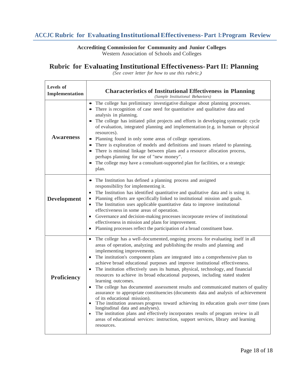## **ACCJC Rubric for EvaluatingInstitutionalEffectiveness-Part I:Program Review**

#### **Accrediting Commission for Community and Junior Colleges**

Western Association of Schools and Colleges

# **Rubric for Evaluating Institutional Effectiveness-Part II: Planning**

*(See cover letter for how to use this rubric.)*

| Levels of<br>Implementation | <b>Characteristics of Institutional Effectiveness in Planning</b><br>(Sample Institutional Behaviors)                                                                                                                                                                                                                                                                                                                                                                                                                                                                                                                                                                                                                                                                                                                                                                                                                                                                                                                                                                                                    |
|-----------------------------|----------------------------------------------------------------------------------------------------------------------------------------------------------------------------------------------------------------------------------------------------------------------------------------------------------------------------------------------------------------------------------------------------------------------------------------------------------------------------------------------------------------------------------------------------------------------------------------------------------------------------------------------------------------------------------------------------------------------------------------------------------------------------------------------------------------------------------------------------------------------------------------------------------------------------------------------------------------------------------------------------------------------------------------------------------------------------------------------------------|
| <b>Awareness</b>            | The college has preliminary investigative dialogue about planning processes.<br>$\bullet$<br>• There is recognition of case need for quantitative and qualitative data and<br>analysis in planning.<br>• The college has initiated pilot projects and efforts in developing systematic cycle<br>of evaluation, integrated planning and implementation (e.g. in human or physical<br>resources).<br>• Planning found in only some areas of college operations.<br>• There is exploration of models and definitions and issues related to planning.<br>• There is minimal linkage between plans and a resource allocation process,<br>perhaps planning for use of "new money".<br>The college may have a consultant-supported plan for facilities, or a strategic<br>plan.                                                                                                                                                                                                                                                                                                                                 |
| <b>Development</b>          | The Institution has defined a planning process and assigned<br>responsibility for implementing it.<br>The Institution has identified quantitative and qualitative data and is using it.<br>Planning efforts are specifically linked to institutional mission and goals.<br>The Institution uses applicable quantitative data to improve institutional<br>$\bullet$<br>effectiveness in some areas of operation.<br>• Governance and decision-making processes incorporate review of institutional<br>effectiveness in mission and plans for improvement.<br>Planning processes reflect the participation of a broad constituent base.<br>$\bullet$                                                                                                                                                                                                                                                                                                                                                                                                                                                       |
| <b>Proficiency</b>          | The college has a well-documented, ongoing process for evaluating itself in all<br>$\bullet$<br>areas of operation, analyzing and publishing the results and planning and<br>implementing improvements.<br>• The institution's component plans are integrated into a comprehensive plan to<br>achieve broad educational purposes and improve institutional effectiveness.<br>The institution effectively uses its human, physical, technology, and financial<br>resources to achieve its broad educational purposes, including stated student<br>learning outcomes.<br>The college has documented assessment results and communicated matters of quality<br>assurance to appropriate constituencies (documents data and analysis of achievement<br>of its educational mission).<br>The institution assesses progress toward achieving its education goals over time (uses<br>longitudinal data and analyses).<br>The institution plans and effectively incorporates results of program review in all<br>areas of educational services: instruction, support services, library and learning<br>resources. |